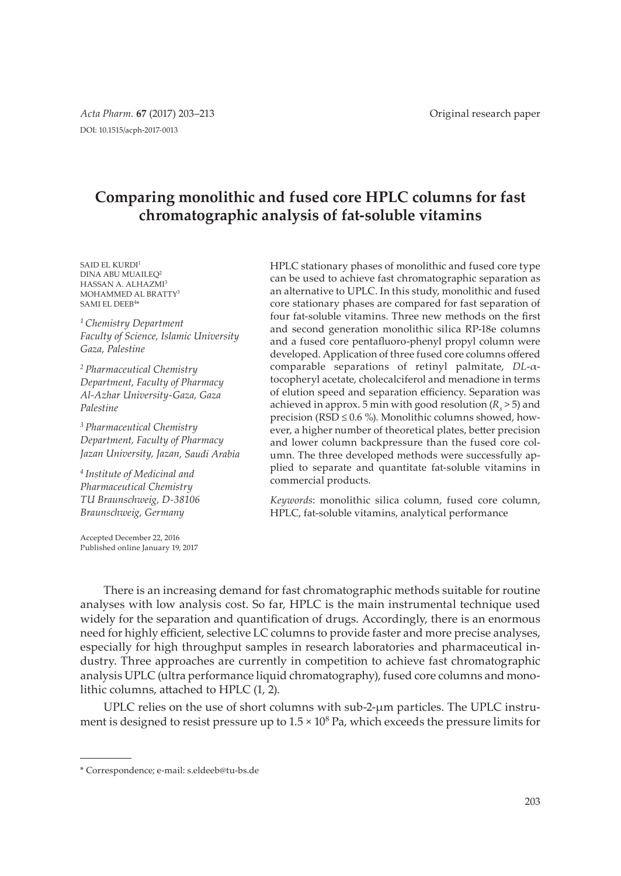# **Comparing monolithic and fused core HPLC columns for fast chromatographic analysis of fat-soluble vitamins**

SAID EL KURDI<sup>1</sup> DINA ABU MUAILEQ<sup>2</sup> HASSAN A. ALHAZMI<sup>3</sup> MOHAMMED AL BRATTY<sup>3</sup> SAMI EL DEEB<sup>4</sup> \*

*<sup>1</sup>Chemistry Department Faculty of Science, Islamic University Gaza, Palestine*

*<sup>2</sup>Pharmaceutical Chemistry Department, Faculty of Pharmacy Al-Azhar University-Gaza, Gaza Palestine*

*<sup>3</sup>Pharmaceutical Chemistry Department, Faculty of Pharmacy Jazan University, Jazan, Saudi Arabia*

*<sup>4</sup>Institute of Medicinal and Pharmaceutical Chemistry TU Braunschweig, D-38106 Braunschweig, Germany*

Accepted December 22, 2016 Published online January 19, 2017 HPLC stationary phases of monolithic and fused core type can be used to achieve fast chromatographic separation as an alternative to UPLC. In this study, monolithic and fused core stationary phases are compared for fast separation of four fat-soluble vitamins. Three new methods on the first and second generation monolithic silica RP-18e columns and a fused core pentafluoro-phenyl propyl column were developed. Application of three fused core columns offered comparable separations of retinyl palmitate, *DL*-αtocopheryl acetate, cholecalciferol and menadione in terms of elution speed and separation efficiency. Separation was achieved in approx. 5 min with good resolution  $(R_s > 5)$  and precision (RSD  $\leq$  0.6 %). Monolithic columns showed, however, a higher number of theoretical plates, better precision and lower column backpressure than the fused core column. The three developed methods were successfully applied to separate and quantitate fat-soluble vitamins in commercial products.

*Keywords*: monolithic silica column, fused core column, HPLC, fat-soluble vitamins, analytical performance

There is an increasing demand for fast chromatographic methods suitable for routine analyses with low analysis cost. So far, HPLC is the main instrumental technique used widely for the separation and quantification of drugs. Accordingly, there is an enormous need for highly efficient, selective LC columns to provide faster and more precise analyses, especially for high throughput samples in research laboratories and pharmaceutical industry. Three approaches are currently in competition to achieve fast chromatographic analysis UPLC (ultra performance liquid chromatography), fused core columns and monolithic columns, attached to HPLC (1, 2).

UPLC relies on the use of short columns with sub-2-μm particles. The UPLC instrument is designed to resist pressure up to  $1.5 \times 10^8$  Pa, which exceeds the pressure limits for

<sup>\*</sup> Correspondence; e-mail: s.eldeeb@tu-bs.de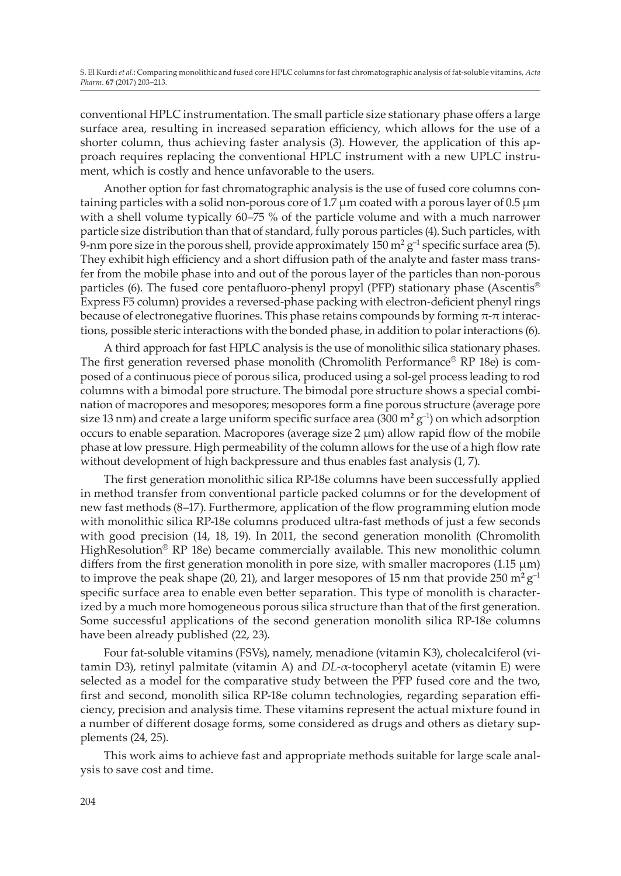conventional HPLC instrumentation. The small particle size stationary phase offers a large surface area, resulting in increased separation efficiency, which allows for the use of a shorter column, thus achieving faster analysis (3). However, the application of this approach requires replacing the conventional HPLC instrument with a new UPLC instrument, which is costly and hence unfavorable to the users.

Another option for fast chromatographic analysis is the use of fused core columns containing particles with a solid non-porous core of 1.7 μm coated with a porous layer of 0.5 μm with a shell volume typically 60–75 % of the particle volume and with a much narrower particle size distribution than that of standard, fully porous particles (4). Such particles, with 9-nm pore size in the porous shell, provide approximately 150 m $^2$  g $^{-1}$  specific surface area (5). They exhibit high efficiency and a short diffusion path of the analyte and faster mass transfer from the mobile phase into and out of the porous layer of the particles than non-porous particles (6). The fused core pentafluoro-phenyl propyl (PFP) stationary phase (Ascentis® Express F5 column) provides a reversed-phase packing with electron-deficient phenyl rings because of electronegative fluorines. This phase retains compounds by forming  $\pi$ - $\pi$  interactions, possible steric interactions with the bonded phase, in addition to polar interactions (6).

A third approach for fast HPLC analysis is the use of monolithic silica stationary phases. The first generation reversed phase monolith (Chromolith Performance® RP 18e) is composed of a continuous piece of porous silica, produced using a sol-gel process leading to rod columns with a bimodal pore structure. The bimodal pore structure shows a special combination of macropores and mesopores; mesopores form a fine porous structure (average pore size 13 nm) and create a large uniform specific surface area (300  $\mathrm{m^{2}\,g^{-1}}$ ) on which adsorption occurs to enable separation. Macropores (average size  $2 \mu m$ ) allow rapid flow of the mobile phase at low pressure. High permeability of the column allows for the use of a high flow rate without development of high backpressure and thus enables fast analysis (1, 7).

The first generation monolithic silica RP-18e columns have been successfully applied in method transfer from conventional particle packed columns or for the development of new fast methods (8–17). Furthermore, application of the flow programming elution mode with monolithic silica RP-18e columns produced ultra-fast methods of just a few seconds with good precision (14, 18, 19). In 2011, the second generation monolith (Chromolith HighResolution<sup>®</sup> RP 18e) became commercially available. This new monolithic column differs from the first generation monolith in pore size, with smaller macropores (1.15 μm) to improve the peak shape (20, 21), and larger mesopores of 15 nm that provide 250  $\mathrm{m^2\,g^{-1}}$ specific surface area to enable even better separation. This type of monolith is characterized by a much more homogeneous porous silica structure than that of the first generation. Some successful applications of the second generation monolith silica RP-18e columns have been already published (22, 23).

Four fat-soluble vitamins (FSVs), namely, menadione (vitamin K3), cholecalciferol (vitamin D3), retinyl palmitate (vitamin A) and *DL*-α-tocopheryl acetate (vitamin E) were selected as a model for the comparative study between the PFP fused core and the two, first and second, monolith silica RP-18e column technologies, regarding separation efficiency, precision and analysis time. These vitamins represent the actual mixture found in a number of different dosage forms, some considered as drugs and others as dietary supplements (24, 25).

This work aims to achieve fast and appropriate methods suitable for large scale analysis to save cost and time.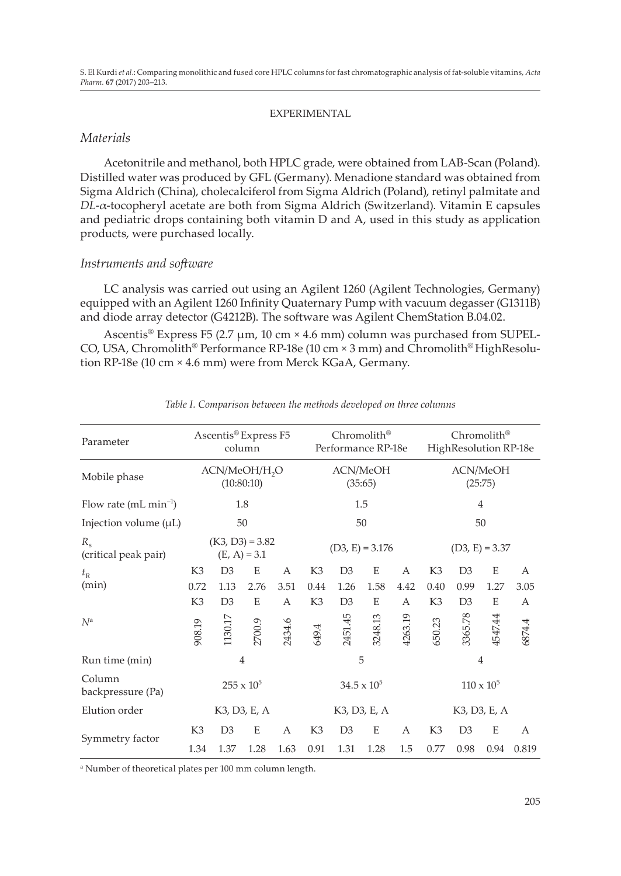#### EXPERIMENTAL

### *Materials*

Acetonitrile and methanol, both HPLC grade, were obtained from LAB-Scan (Poland). Distilled water was produced by GFL (Germany). Menadione standard was obtained from Sigma Aldrich (China), cholecalciferol from Sigma Aldrich (Poland), retinyl palmitate and *DL*-α-tocopheryl acetate are both from Sigma Aldrich (Switzerland). Vitamin E capsules and pediatric drops containing both vitamin D and A, used in this study as application products, were purchased locally.

# *Instruments and software*

LC analysis was carried out using an Agilent 1260 (Agilent Technologies, Germany) equipped with an Agilent 1260 Infinity Quaternary Pump with vacuum degasser (G1311B) and diode array detector (G4212B). The software was Agilent ChemStation B.04.02.

Ascentis<sup>®</sup> Express F5 (2.7 µm, 10 cm  $\times$  4.6 mm) column was purchased from SUPEL-CO, USA, Chromolith® Performance RP-18e (10 cm × 3 mm) and Chromolith® HighResolution RP-18e (10 cm × 4.6 mm) were from Merck KGaA, Germany.

| Parameter                           | Ascentis® Express F5<br>column          |                |        |                     | Chromolith®<br>Performance RP-18e |                |                |                     | Chromolith®<br>HighResolution RP-18e |                |         |        |
|-------------------------------------|-----------------------------------------|----------------|--------|---------------------|-----------------------------------|----------------|----------------|---------------------|--------------------------------------|----------------|---------|--------|
| Mobile phase                        | ACN/MeOH/H <sub>2</sub> O<br>(10:80:10) |                |        | ACN/MeOH<br>(35:65) |                                   |                |                | ACN/MeOH<br>(25:75) |                                      |                |         |        |
| Flow rate $(mL min-1)$              | 1.8                                     |                |        | 1.5                 |                                   |                | $\overline{4}$ |                     |                                      |                |         |        |
| Injection volume $(\mu L)$          | 50                                      |                |        | 50                  |                                   |                | 50             |                     |                                      |                |         |        |
| $R_{\rm c}$<br>(critical peak pair) | $(K3, D3) = 3.82$<br>$(E, A) = 3.1$     |                |        | $(D3, E) = 3.176$   |                                   |                |                | $(D3, E) = 3.37$    |                                      |                |         |        |
| $t_{\rm R}$                         | K <sub>3</sub>                          | D <sub>3</sub> | E      | А                   | K <sub>3</sub>                    | D <sub>3</sub> | E              | А                   | K3                                   | D <sub>3</sub> | E       | A      |
| (min)                               | 0.72                                    | 1.13           | 2.76   | 3.51                | 0.44                              | 1.26           | 1.58           | 4.42                | 0.40                                 | 0.99           | 1.27    | 3.05   |
|                                     | K3                                      | D <sub>3</sub> | E      | A                   | K3                                | D <sub>3</sub> | E              | А                   | K3                                   | D <sub>3</sub> | E       | А      |
| N <sup>a</sup>                      | 908.19                                  | 1130.17        | 2700.9 | 2434.6              | 649.4                             | 2451.45        | 3248.13        | 4263.19             | 650.23                               | 3365.78        | 4547.44 | 6874.4 |
| Run time (min)                      | $\overline{4}$                          |                |        | 5                   |                                   |                | $\overline{4}$ |                     |                                      |                |         |        |
| Column<br>backpressure (Pa)         | $255 \times 10^{5}$                     |                |        |                     | $34.5 \times 10^5$                |                |                |                     | $110 \times 10^{5}$                  |                |         |        |
| Elution order                       | K3, D3, E, A                            |                |        |                     | K3, D3, E, A                      |                |                |                     | K3, D3, E, A                         |                |         |        |
| Symmetry factor                     | K3                                      | D <sub>3</sub> | E      | A                   | K <sub>3</sub>                    | D <sub>3</sub> | E              | А                   | K <sub>3</sub>                       | D <sub>3</sub> | E       | A      |
|                                     | 1.34                                    | 1.37           | 1.28   | 1.63                | 0.91                              | 1.31           | 1.28           | 1.5                 | 0.77                                 | 0.98           | 0.94    | 0.819  |

*Table I. Comparison between the methods developed on three columns*

a Number of theoretical plates per 100 mm column length.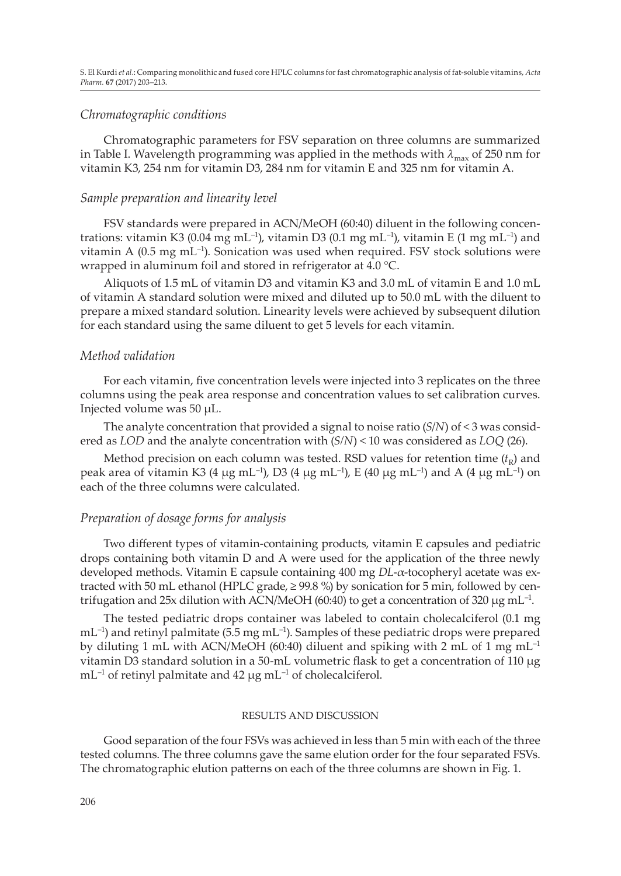## *Chromatographic conditions*

Chromatographic parameters for FSV separation on three columns are summarized in Table I. Wavelength programming was applied in the methods with  $\lambda_{\text{max}}$  of 250 nm for vitamin K3, 254 nm for vitamin D3, 284 nm for vitamin E and 325 nm for vitamin A.

# *Sample preparation and linearity level*

FSV standards were prepared in ACN/MeOH (60:40) diluent in the following concentrations: vitamin K3 (0.04 mg mL<sup>-1</sup>), vitamin D3 (0.1 mg mL<sup>-1</sup>), vitamin E (1 mg mL<sup>-1</sup>) and vitamin A  $(0.5 \text{ mg} \text{ mL}^{-1})$ . Sonication was used when required. FSV stock solutions were wrapped in aluminum foil and stored in refrigerator at  $4.0^{\circ}$ C.

Aliquots of 1.5 mL of vitamin D3 and vitamin K3 and 3.0 mL of vitamin E and 1.0 mL of vitamin A standard solution were mixed and diluted up to 50.0 mL with the diluent to prepare a mixed standard solution. Linearity levels were achieved by subsequent dilution for each standard using the same diluent to get 5 levels for each vitamin.

# *Method validation*

For each vitamin, five concentration levels were injected into 3 replicates on the three columns using the peak area response and concentration values to set calibration curves. Injected volume was 50 μL.

The analyte concentration that provided a signal to noise ratio (*S*/*N*) of < 3 was considered as *LOD* and the analyte concentration with (*S/N*) < 10 was considered as *LOQ* (26).

Method precision on each column was tested. RSD values for retention time  $(t_R)$  and peak area of vitamin K3 (4 μg mL<sup>-1</sup>), D3 (4 μg mL<sup>-1</sup>), E (40 μg mL<sup>-1</sup>) and A (4 μg mL<sup>-1</sup>) on each of the three columns were calculated.

# *Preparation of dosage forms for analysis*

Two different types of vitamin-containing products, vitamin E capsules and pediatric drops containing both vitamin D and A were used for the application of the three newly developed methods. Vitamin E capsule containing 400 mg *DL*-α-tocopheryl acetate was extracted with 50 mL ethanol (HPLC grade, ≥ 99.8 %) by sonication for 5 min, followed by centrifugation and 25x dilution with ACN/MeOH (60:40) to get a concentration of 320  $\mu$ g mL<sup>-1</sup>.

The tested pediatric drops container was labeled to contain cholecalciferol (0.1 mg  $mL^{-1}$ ) and retinyl palmitate (5.5 mg  $mL^{-1}$ ). Samples of these pediatric drops were prepared by diluting 1 mL with ACN/MeOH (60:40) diluent and spiking with 2 mL of 1 mg mL<sup>-1</sup> vitamin D3 standard solution in a 50-mL volumetric flask to get a concentration of 110 μg mL–1 of retinyl palmitate and 42 μg mL–1 of cholecalciferol.

#### RESULTS AND DISCUSSION

Good separation of the four FSVs was achieved in less than 5 min with each of the three tested columns. The three columns gave the same elution order for the four separated FSVs. The chromatographic elution patterns on each of the three columns are shown in Fig. 1.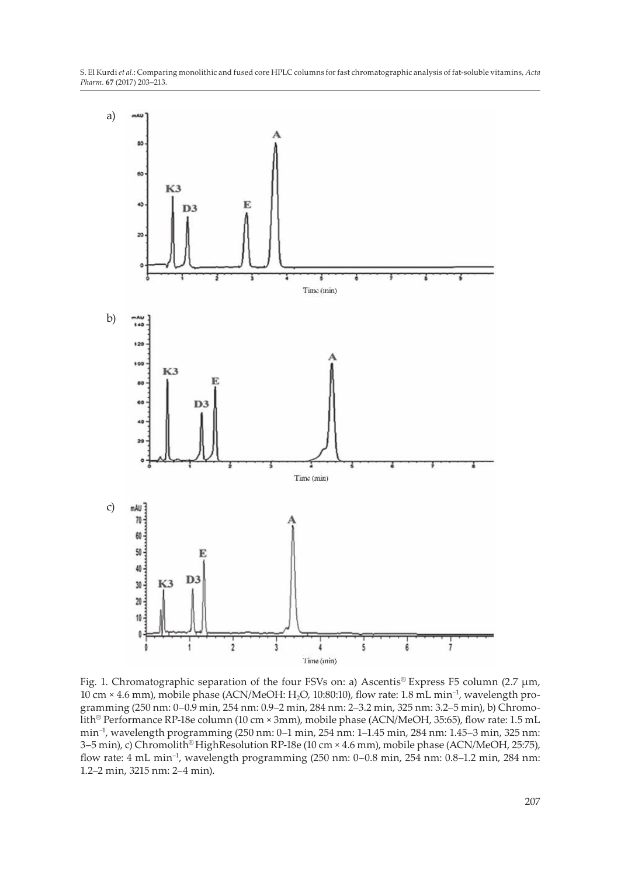S. El Kurdi *et al.*: Comparing monolithic and fused core HPLC columns for fast chromatographic analysis of fat-soluble vitamins, *Acta Pharm.* **67** (2017) 203–213.



Fig. 1. Chromatographic separation of the four FSVs on: a) Ascentis® Express F5 column (2.7 μm, 10 cm × 4.6 mm), mobile phase (ACN/MeOH: H2O, 10:80:10), flow rate: 1.8 mL min–1, wavelength programming (250 nm: 0–0.9 min, 254 nm: 0.9–2 min, 284 nm: 2–3.2 min, 325 nm: 3.2–5 min), b) Chromolith® Performance RP-18e column (10 cm × 3mm), mobile phase (ACN/MeOH, 35:65), flow rate: 1.5 mL min–1, wavelength programming (250 nm: 0–1 min, 254 nm: 1–1.45 min, 284 nm: 1.45–3 min, 325 nm: 3–5 min), c) Chromolith® HighResolution RP-18e (10 cm × 4.6 mm), mobile phase (ACN/MeOH, 25:75), flow rate: 4 mL min–1, wavelength programming (250 nm: 0–0.8 min, 254 nm: 0.8–1.2 min, 284 nm: 1.2–2 min, 3215 nm: 2–4 min).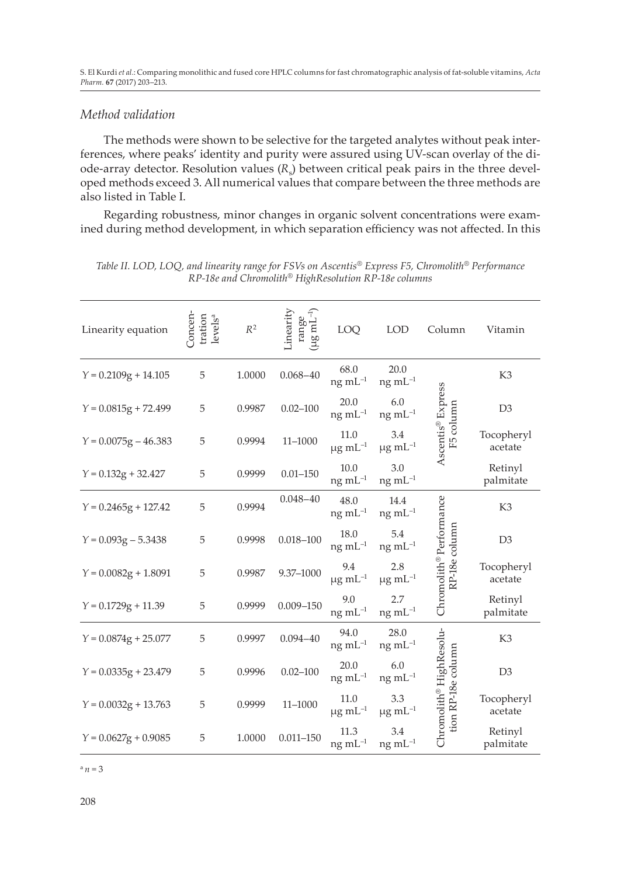S. El Kurdi *et al.*: Comparing monolithic and fused core HPLC columns for fast chromatographic analysis of fat-soluble vitamins, *Acta Pharm.* **67** (2017) 203–213.

# *Method validation*

The methods were shown to be selective for the targeted analytes without peak interferences, where peaks' identity and purity were assured using UV-scan overlay of the diode-array detector. Resolution values (R<sub>s</sub>) between critical peak pairs in the three developed methods exceed 3. All numerical values that compare between the three methods are also listed in Table I.

Regarding robustness, minor changes in organic solvent concentrations were examined during method development, in which separation efficiency was not affected. In this

| Linearity equation     | Concen<br>tration<br>levels <sup>a</sup> | $R^2$  | inearity<br>$\left( \mu g \, \text{mL}^{-1} \right)$<br>range | LOQ                              | <b>LOD</b>                      | Column                                        | Vitamin               |
|------------------------|------------------------------------------|--------|---------------------------------------------------------------|----------------------------------|---------------------------------|-----------------------------------------------|-----------------------|
| $Y = 0.2109g + 14.105$ | 5                                        | 1.0000 | $0.068 - 40$                                                  | 68.0<br>$ng$ mL $^{-1}$          | 20.0<br>$ng \, mL^{-1}$         |                                               | K <sub>3</sub>        |
| $Y = 0.0815g + 72.499$ | 5                                        | 0.9987 | $0.02 - 100$                                                  | 20.0<br>$ng$ mL $^{-1}$          | 6.0<br>$ng \, mL^{-1}$          | F5 column                                     | D <sub>3</sub>        |
| $Y = 0.0075g - 46.383$ | 5                                        | 0.9994 | $11 - 1000$                                                   | 11.0<br>$\mu$ g mL <sup>-1</sup> | 3.4<br>$\mu$ g mL <sup>-1</sup> | Ascentis <sup>®</sup> Express                 | Tocopheryl<br>acetate |
| $Y = 0.132g + 32.427$  | 5                                        | 0.9999 | $0.01 - 150$                                                  | 10.0<br>ng mL <sup>-1</sup>      | 3.0<br>$ng$ mL $^{-1}$          |                                               | Retinyl<br>palmitate  |
| $Y = 0.2465g + 127.42$ | 5                                        | 0.9994 | $0.048 - 40$                                                  | 48.0<br>$ng$ mL $^{-1}$          | 14.4<br>$ng \, mL^{-1}$         |                                               | K3                    |
| $Y = 0.093g - 5.3438$  | 5                                        | 0.9998 | $0.018 - 100$                                                 | 18.0<br>$ng$ mL $^{-1}$          | 5.4<br>$ng \, mL^{-1}$          | RP-18e column                                 | D <sub>3</sub>        |
| $Y = 0.0082g + 1.8091$ | 5                                        | 0.9987 | 9.37-1000                                                     | 9.4<br>$\mu$ g mL <sup>-1</sup>  | 2.8<br>$\mu$ g mL <sup>-1</sup> | Chromolith <sup>®</sup> Performance           | Tocopheryl<br>acetate |
| $Y = 0.1729g + 11.39$  | 5                                        | 0.9999 | $0.009 - 150$                                                 | 9.0<br>ng mL <sup>-1</sup>       | 2.7<br>$ng \, mL^{-1}$          |                                               | Retinyl<br>palmitate  |
| $Y = 0.0874g + 25.077$ | 5                                        | 0.9997 | $0.094 - 40$                                                  | 94.0<br>$ng$ mL $^{-1}$          | 28.0<br>$ng \, mL^{-1}$         |                                               | K <sub>3</sub>        |
| $Y = 0.0335g + 23.479$ | 5                                        | 0.9996 | $0.02 - 100$                                                  | 20.0<br>$ng$ mL $^{-1}$          | 6.0<br>$ng \, mL^{-1}$          |                                               | D <sub>3</sub>        |
| $Y = 0.0032g + 13.763$ | 5                                        | 0.9999 | $11 - 1000$                                                   | 11.0<br>$\mu$ g mL <sup>-1</sup> | 3.3<br>$\mu$ g mL <sup>-1</sup> | Chromolith® HighResolu-<br>tion RP-18e column | Tocopheryl<br>acetate |
| $Y = 0.0627g + 0.9085$ | 5                                        | 1.0000 | $0.011 - 150$                                                 | 11.3<br>$ng$ mL $^{-1}$          | 3.4<br>$ng$ mL $^{-1}$          |                                               | Retinyl<br>palmitate  |

*Table II. LOD, LOQ, and linearity range for FSVs on Ascentis® Express F5, Chromolith® Performance RP-18e and Chromolith® HighResolution RP-18e columns*

 $a_n = 3$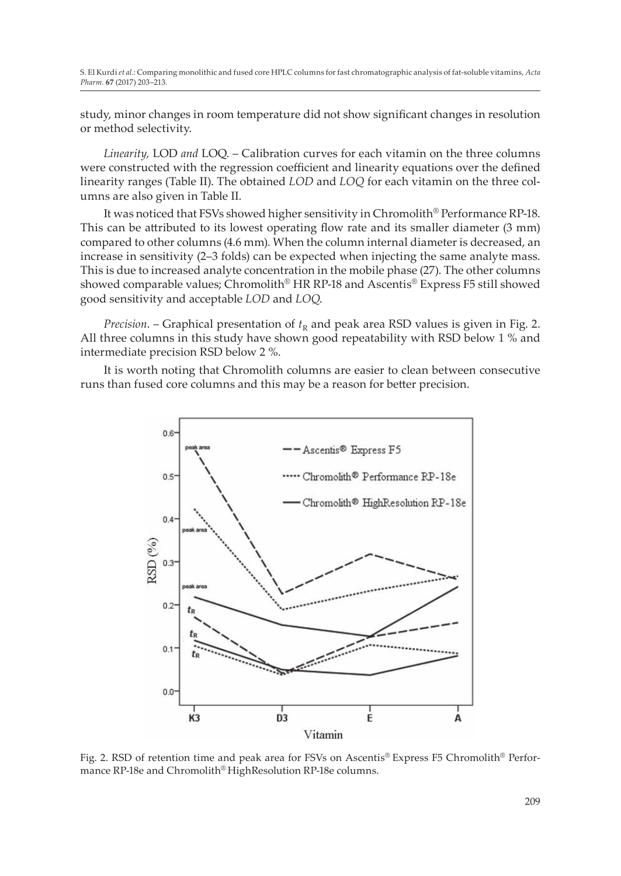study, minor changes in room temperature did not show significant changes in resolution or method selectivity.

*Linearity,* LOD *and* LOQ. – Calibration curves for each vitamin on the three columns were constructed with the regression coefficient and linearity equations over the defined linearity ranges (Table II). The obtained *LOD* and *LOQ* for each vitamin on the three columns are also given in Table II.

It was noticed that FSVs showed higher sensitivity in Chromolith® Performance RP-18. This can be attributed to its lowest operating flow rate and its smaller diameter (3 mm) compared to other columns (4.6 mm). When the column internal diameter is decreased, an increase in sensitivity (2–3 folds) can be expected when injecting the same analyte mass. This is due to increased analyte concentration in the mobile phase (27). The other columns showed comparable values; Chromolith® HR RP-18 and Ascentis® Express F5 still showed good sensitivity and acceptable *LOD* and *LOQ*.

*Precision*. – Graphical presentation of  $t<sub>R</sub>$  and peak area RSD values is given in Fig. 2. All three columns in this study have shown good repeatability with RSD below 1 % and intermediate precision RSD below 2 %.

It is worth noting that Chromolith columns are easier to clean between consecutive runs than fused core columns and this may be a reason for better precision.



Fig. 2. RSD of retention time and peak area for FSVs on Ascentis® Express F5 Chromolith® Performance RP-18e and Chromolith® HighResolution RP-18e columns.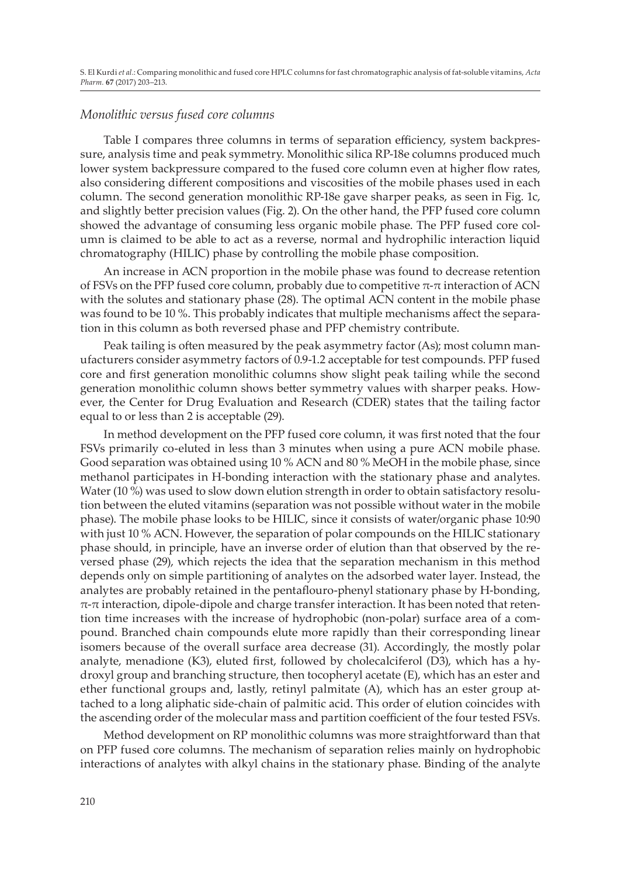## *Monolithic versus fused core columns*

Table I compares three columns in terms of separation efficiency, system backpressure, analysis time and peak symmetry. Monolithic silica RP-18e columns produced much lower system backpressure compared to the fused core column even at higher flow rates, also considering different compositions and viscosities of the mobile phases used in each column. The second generation monolithic RP-18e gave sharper peaks, as seen in Fig. 1c, and slightly better precision values (Fig. 2). On the other hand, the PFP fused core column showed the advantage of consuming less organic mobile phase. The PFP fused core column is claimed to be able to act as a reverse, normal and hydrophilic interaction liquid chromatography (HILIC) phase by controlling the mobile phase composition.

An increase in ACN proportion in the mobile phase was found to decrease retention of FSVs on the PFP fused core column, probably due to competitive  $\pi$ -π interaction of ACN with the solutes and stationary phase (28). The optimal ACN content in the mobile phase was found to be 10 %. This probably indicates that multiple mechanisms affect the separation in this column as both reversed phase and PFP chemistry contribute.

Peak tailing is often measured by the peak asymmetry factor (As); most column manufacturers consider asymmetry factors of 0.9-1.2 acceptable for test compounds. PFP fused core and first generation monolithic columns show slight peak tailing while the second generation monolithic column shows better symmetry values with sharper peaks. However, the Center for Drug Evaluation and Research (CDER) states that the tailing factor equal to or less than 2 is acceptable (29).

In method development on the PFP fused core column, it was first noted that the four FSVs primarily co-eluted in less than 3 minutes when using a pure ACN mobile phase. Good separation was obtained using 10 % ACN and 80 % MeOH in the mobile phase, since methanol participates in H-bonding interaction with the stationary phase and analytes. Water (10 %) was used to slow down elution strength in order to obtain satisfactory resolution between the eluted vitamins (separation was not possible without water in the mobile phase). The mobile phase looks to be HILIC, since it consists of water/organic phase 10:90 with just 10 % ACN. However, the separation of polar compounds on the HILIC stationary phase should, in principle, have an inverse order of elution than that observed by the reversed phase (29), which rejects the idea that the separation mechanism in this method depends only on simple partitioning of analytes on the adsorbed water layer. Instead, the analytes are probably retained in the pentaflouro-phenyl stationary phase by H-bonding,  $\pi$ - $\pi$  interaction, dipole-dipole and charge transfer interaction. It has been noted that retention time increases with the increase of hydrophobic (non-polar) surface area of a compound. Branched chain compounds elute more rapidly than their corresponding linear isomers because of the overall surface area decrease (31). Accordingly, the mostly polar analyte, menadione (K3), eluted first, followed by cholecalciferol (D3), which has a hydroxyl group and branching structure, then tocopheryl acetate (E), which has an ester and ether functional groups and, lastly, retinyl palmitate (A), which has an ester group attached to a long aliphatic side-chain of palmitic acid. This order of elution coincides with the ascending order of the molecular mass and partition coefficient of the four tested FSVs.

Method development on RP monolithic columns was more straightforward than that on PFP fused core columns. The mechanism of separation relies mainly on hydrophobic interactions of analytes with alkyl chains in the stationary phase. Binding of the analyte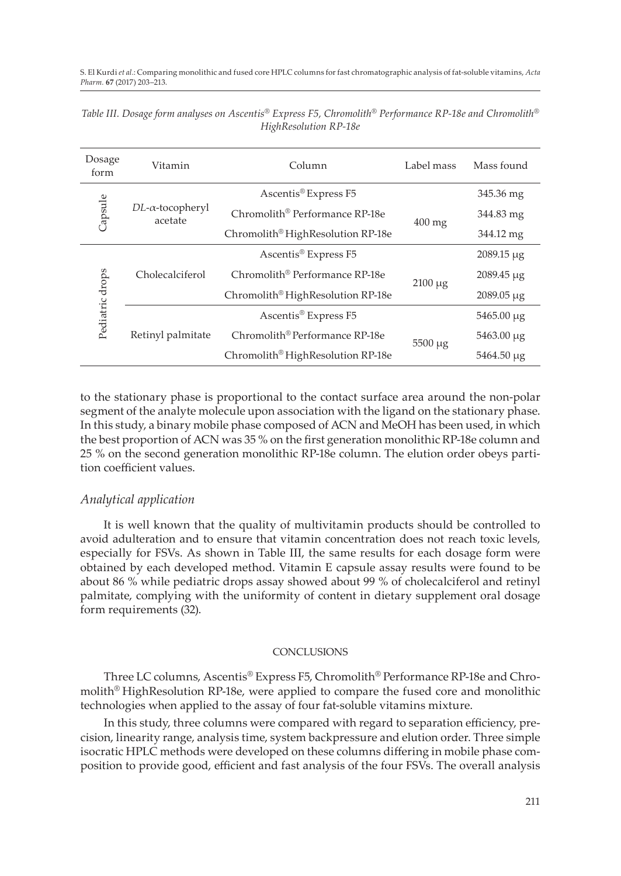| Dosage<br>form  | Vitamin                                | Column                                        | Label mass   | Mass found        |
|-----------------|----------------------------------------|-----------------------------------------------|--------------|-------------------|
| Capsule         | $DL$ - $\alpha$ -tocopheryl<br>acetate | Ascentis® Express F5                          |              | 345.36 mg         |
|                 |                                        | Chromolith <sup>®</sup> Performance RP-18e    | $400$ mg     | 344.83 mg         |
|                 |                                        | Chromolith <sup>®</sup> HighResolution RP-18e |              | 344.12 mg         |
| Pediatric drops | Cholecalciferol                        | Ascentis <sup>®</sup> Express F5              |              | $2089.15 \mu g$   |
|                 |                                        | Chromolith <sup>®</sup> Performance RP-18e    | $2100 \mu g$ | $2089.45 \mu g$   |
|                 |                                        | Chromolith <sup>®</sup> HighResolution RP-18e |              | $2089.05 \,\mu g$ |
|                 | Retinyl palmitate                      | Ascentis <sup>®</sup> Express F5              |              | $5465.00 \mu g$   |
|                 |                                        | Chromolith <sup>®</sup> Performance RP-18e    | $5500 \mu g$ | $5463.00 \mu g$   |
|                 |                                        | Chromolith <sup>®</sup> HighResolution RP-18e |              | $5464.50 \mu g$   |

*Table III. Dosage form analyses on Ascentis® Express F5, Chromolith® Performance RP-18e and Chromolith® HighResolution RP-18e*

to the stationary phase is proportional to the contact surface area around the non-polar segment of the analyte molecule upon association with the ligand on the stationary phase. In this study, a binary mobile phase composed of ACN and MeOH has been used, in which the best proportion of ACN was 35 % on the first generation monolithic RP-18e column and 25 % on the second generation monolithic RP-18e column. The elution order obeys partition coefficient values.

### *Analytical application*

It is well known that the quality of multivitamin products should be controlled to avoid adulteration and to ensure that vitamin concentration does not reach toxic levels, especially for FSVs. As shown in Table III, the same results for each dosage form were obtained by each developed method. Vitamin E capsule assay results were found to be about 86 % while pediatric drops assay showed about 99 % of cholecalciferol and retinyl palmitate, complying with the uniformity of content in dietary supplement oral dosage form requirements (32).

#### **CONCLUSIONS**

Three LC columns, Ascentis® Express F5, Chromolith® Performance RP-18e and Chromolith® HighResolution RP-18e, were applied to compare the fused core and monolithic technologies when applied to the assay of four fat-soluble vitamins mixture.

In this study, three columns were compared with regard to separation efficiency, precision, linearity range, analysis time, system backpressure and elution order. Three simple isocratic HPLC methods were developed on these columns differing in mobile phase composition to provide good, efficient and fast analysis of the four FSVs. The overall analysis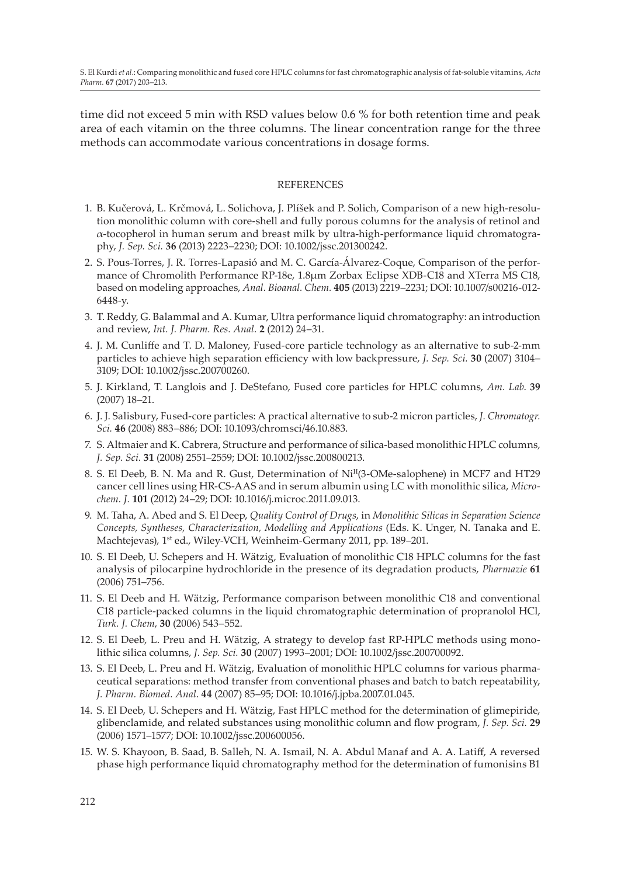time did not exceed 5 min with RSD values below 0.6 % for both retention time and peak area of each vitamin on the three columns. The linear concentration range for the three methods can accommodate various concentrations in dosage forms.

### **REFERENCES**

- 1. B. Kučerová, L. Krčmová, L. Solichova, J. Plíšek and P. Solich, Comparison of a new high-resolution monolithic column with core-shell and fully porous columns for the analysis of retinol and α-tocopherol in human serum and breast milk by ultra-high-performance liquid chromatography, *J. Sep. Sci.* **36** (2013) 2223–2230; DOI: 10.1002/jssc.201300242.
- 2. S. Pous-Torres, J. R. Torres-Lapasió and M. C. García-Álvarez-Coque, Comparison of the performance of Chromolith Performance RP-18e, 1.8μm Zorbax Eclipse XDB-C18 and XTerra MS C18, based on modeling approaches, *Anal. Bioanal. Chem.* **405** (2013) 2219–2231; DOI: 10.1007/s00216-012- 6448-y.
- 3. T. Reddy, G. Balammal and A. Kumar, Ultra performance liquid chromatography: an introduction and review, *Int. J. Pharm. Res. Anal.* **2** (2012) 24–31.
- 4. J. M. Cunliffe and T. D. Maloney, Fused-core particle technology as an alternative to sub-2-mm particles to achieve high separation efficiency with low backpressure, *J. Sep. Sci.* **30** (2007) 3104– 3109; DOI: 10.1002/jssc.200700260.
- 5. J. Kirkland, T. Langlois and J. DeStefano, Fused core particles for HPLC columns, *Am. Lab*. **39**  (2007) 18–21.
- 6. J. J. Salisbury, Fused-core particles: A practical alternative to sub-2 micron particles, *J. Chromatogr. Sci.* **46** (2008) 883–886; DOI: 10.1093/chromsci/46.10.883.
- 7. S. Altmaier and K. Cabrera, Structure and performance of silica-based monolithic HPLC columns, *J. Sep. Sci.* **31** (2008) 2551–2559; DOI: 10.1002/jssc.200800213.
- 8. S. El Deeb, B. N. Ma and R. Gust, Determination of NiII(3-OMe-salophene) in MCF7 and HT29 cancer cell lines using HR-CS-AAS and in serum albumin using LC with monolithic silica, *Microchem. J.* **101** (2012) 24–29; DOI: 10.1016/j.microc.2011.09.013.
- 9. M. Taha, A. Abed and S. El Deep, *Quality Control of Drugs*, in *Monolithic Silicas in Separation Science Concepts, Syntheses, Characterization, Modelling and Applications* (Eds. K. Unger, N. Tanaka and E. Machtejevas), 1<sup>st</sup> ed., Wiley-VCH, Weinheim-Germany 2011, pp. 189–201.
- 10. S. El Deeb, U. Schepers and H. Wätzig, Evaluation of monolithic C18 HPLC columns for the fast analysis of pilocarpine hydrochloride in the presence of its degradation products, *Pharmazie* **61** (2006) 751–756.
- 11. S. El Deeb and H. Wätzig, Performance comparison between monolithic C18 and conventional C18 particle-packed columns in the liquid chromatographic determination of propranolol HCl, *Turk. J. Chem*, **30** (2006) 543–552.
- 12. S. El Deeb, L. Preu and H. Wätzig, A strategy to develop fast RP-HPLC methods using monolithic silica columns, *J. Sep. Sci.* **30** (2007) 1993–2001; DOI: 10.1002/jssc.200700092.
- 13. S. El Deeb, L. Preu and H. Wätzig, Evaluation of monolithic HPLC columns for various pharmaceutical separations: method transfer from conventional phases and batch to batch repeatability, *J. Pharm. Biomed. Anal*. **44** (2007) 85–95; DOI: 10.1016/j.jpba.2007.01.045.
- 14. S. El Deeb, U. Schepers and H. Wätzig, Fast HPLC method for the determination of glimepiride, glibenclamide, and related substances using monolithic column and flow program, *J. Sep. Sci.* **29** (2006) 1571–1577; DOI: 10.1002/jssc.200600056.
- 15. W. S. Khayoon, B. Saad, B. Salleh, N. A. Ismail, N. A. Abdul Manaf and A. A. Latiff, A reversed phase high performance liquid chromatography method for the determination of fumonisins B1